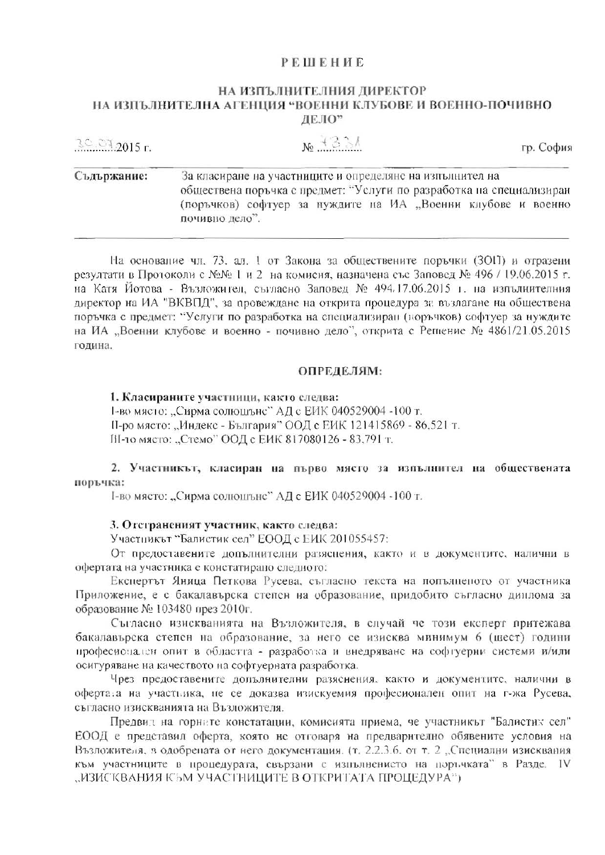## **PEINEHUE**

## НА ИЗПЪЛНИТЕЛНИЯ ДИРЕКТОР НА ИЗПЪЛНИТЕЛНА АГЕНЦИЯ "ВОЕННИ КЛУБОВЕ И ВОЕННО-ПОЧИВНО ДЕЛО"

| $30.012015$ r. | $N_2 + 3.3$<br>гр. София                                                                                                                                                                                            |
|----------------|---------------------------------------------------------------------------------------------------------------------------------------------------------------------------------------------------------------------|
| Съдържание:    | За класиране на участниците и определяне на изпълнител на<br>обществена поръчка с предмет: "Услуги по разработка на специализиран<br>(поръчков) софтуер за нуждите на ИА "Военни клубове и военно<br>почивно дело". |

На основание чл. 73, ал. 1 от Закона за обществените поръчки (ЗОП) и отразени резултати в Протоколи с №№ 1 и 2 на комисия, назначена със Заповед № 496 / 19.06.2015 г. на Катя Йотова - Възложител, съгласно Заповед № 494.17.06.2015 г. на изпълнителния директор на ИА "ВКВПД", за провеждане на открита процедура за възлагане на обществена поръчка с предмет: "Услуги по разработка на специализиран (поръчков) софтуер за нуждите на ИА "Военни клубове и военно - почивно дело", открита с Решение № 4861/21.05.2015 година.

#### ОПРЕДЕЛЯМ:

1. Класираните участници, както следва: 1-во място: "Сирма солюшънс" АД с ЕИК 040529004 -100 т. П-ро място: "Индекс - България" ООД с ЕИК 121415869 - 86.521 т. ИІ-то място: "Стемо" ООД с ЕИК 817080126 - 83,791 т.

## 2. Участникът, класиран на първо място за изпълнител на обществената поръчка:

І-во място: "Сирма солюшънс" АД с ЕИК 040529004 -100 т.

#### 3. Отстраненият участник, както следва:

Участникът "Балистик сел" ЕООД с ЕИК 201055457:

От предоставените допълнителни разяснения, както и в документите, налични в офертата на участника е коистатирано следното:

Експертът Яница Петкова Русева, съгласно текста на попълненото от участника Приложение, е с бакалавърска степен на образование, придобито съгласно диплома за образование № 103480 през 2010г.

Сыласно изискванията на Възложителя, в случай че този експерт притежава бакалавърска степен на образование, за него се изисква минимум 6 (шест) години професионален опит в областта - разработка и внедряване на софтуерни системи и/или осигуряване на качеството на софтуерната разработка.

Чрез предоставените допълнителни разяснения, както и документите, налични в офертата на участника, не се доказва изискуемия професионален опит на г-жа Русева, съгласно изискванията на Възложителя.

Предвид на горните констатации, комисията приема, че участникът "Балистик сел" ЕООД е представил оферта, която не отговаря на предварително обявените условия на Възложителя, в одобрената от него документация. (т. 2.2.3.6, от т. 2 "Специални изисквания към участниците в процедурата, свързани с изпълнението на поръчката" в Разде. IV "ИЗИСКВАНИЯ КЪМ УЧАСТНИЦИТЕ В ОТКРИТАТА ПРОЦЕДУРА")